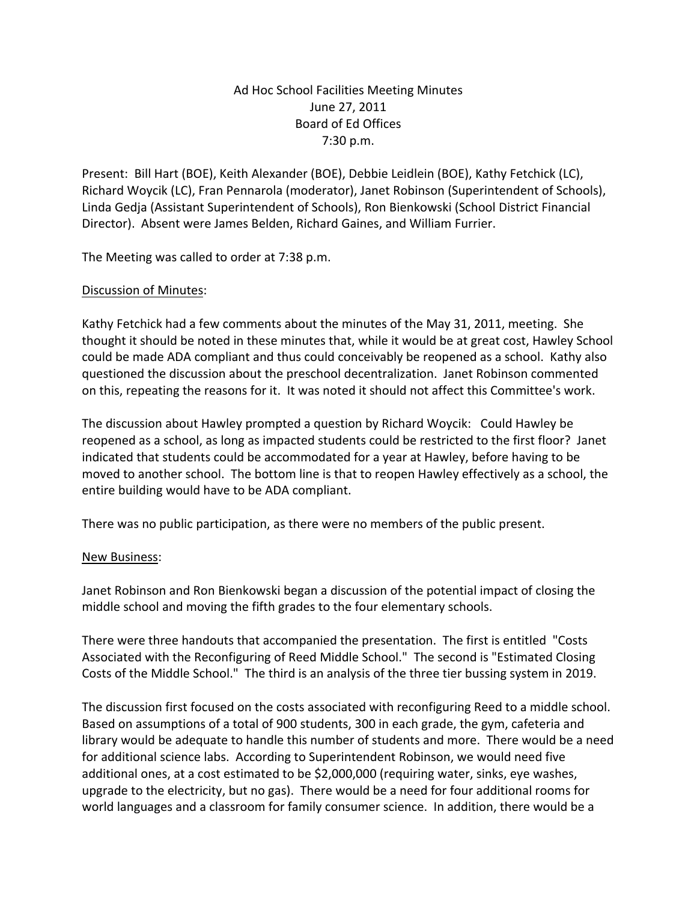## Ad Hoc School Facilities Meeting Minutes June 27, 2011 Board of Ed Offices 7:30 p.m.

Present: Bill Hart (BOE), Keith Alexander (BOE), Debbie Leidlein (BOE), Kathy Fetchick (LC), Richard Woycik (LC), Fran Pennarola (moderator), Janet Robinson (Superintendent of Schools), Linda Gedja (Assistant Superintendent of Schools), Ron Bienkowski (School District Financial Director). Absent were James Belden, Richard Gaines, and William Furrier.

The Meeting was called to order at 7:38 p.m.

## Discussion of Minutes:

Kathy Fetchick had a few comments about the minutes of the May 31, 2011, meeting. She thought it should be noted in these minutes that, while it would be at great cost, Hawley School could be made ADA compliant and thus could conceivably be reopened as a school. Kathy also questioned the discussion about the preschool decentralization. Janet Robinson commented on this, repeating the reasons for it. It was noted it should not affect this Committee's work.

The discussion about Hawley prompted a question by Richard Woycik: Could Hawley be reopened as a school, as long as impacted students could be restricted to the first floor? Janet indicated that students could be accommodated for a year at Hawley, before having to be moved to another school. The bottom line is that to reopen Hawley effectively as a school, the entire building would have to be ADA compliant.

There was no public participation, as there were no members of the public present.

## New Business:

Janet Robinson and Ron Bienkowski began a discussion of the potential impact of closing the middle school and moving the fifth grades to the four elementary schools.

There were three handouts that accompanied the presentation. The first is entitled "Costs Associated with the Reconfiguring of Reed Middle School." The second is "Estimated Closing Costs of the Middle School." The third is an analysis of the three tier bussing system in 2019.

The discussion first focused on the costs associated with reconfiguring Reed to a middle school. Based on assumptions of a total of 900 students, 300 in each grade, the gym, cafeteria and library would be adequate to handle this number of students and more. There would be a need for additional science labs. According to Superintendent Robinson, we would need five additional ones, at a cost estimated to be \$2,000,000 (requiring water, sinks, eye washes, upgrade to the electricity, but no gas). There would be a need for four additional rooms for world languages and a classroom for family consumer science. In addition, there would be a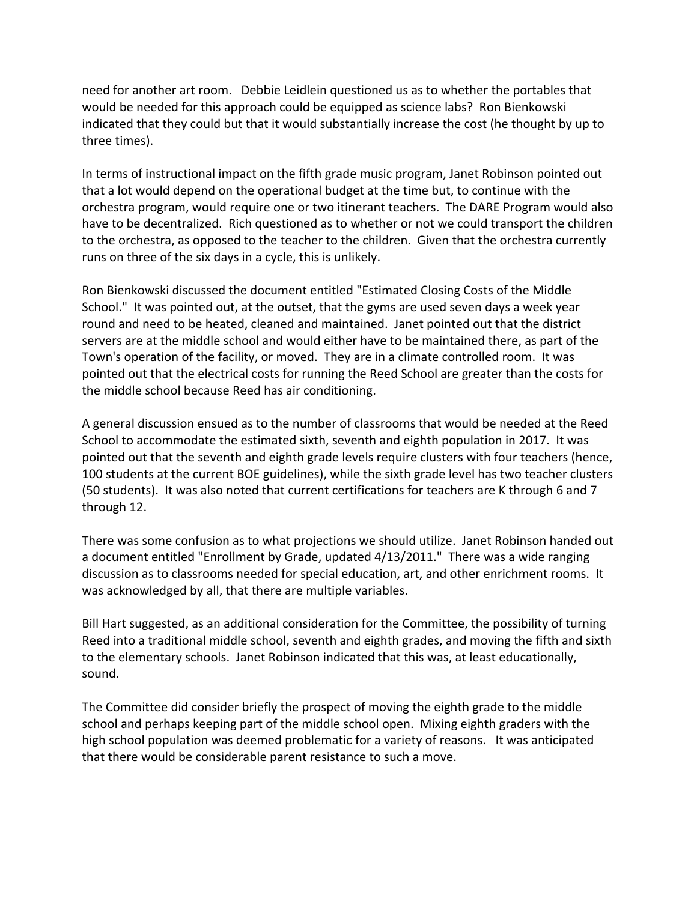need for another art room. Debbie Leidlein questioned us as to whether the portables that would be needed for this approach could be equipped as science labs? Ron Bienkowski indicated that they could but that it would substantially increase the cost (he thought by up to three times).

In terms of instructional impact on the fifth grade music program, Janet Robinson pointed out that a lot would depend on the operational budget at the time but, to continue with the orchestra program, would require one or two itinerant teachers. The DARE Program would also have to be decentralized. Rich questioned as to whether or not we could transport the children to the orchestra, as opposed to the teacher to the children. Given that the orchestra currently runs on three of the six days in a cycle, this is unlikely.

Ron Bienkowski discussed the document entitled "Estimated Closing Costs of the Middle School." It was pointed out, at the outset, that the gyms are used seven days a week year round and need to be heated, cleaned and maintained. Janet pointed out that the district servers are at the middle school and would either have to be maintained there, as part of the Town's operation of the facility, or moved. They are in a climate controlled room. It was pointed out that the electrical costs for running the Reed School are greater than the costs for the middle school because Reed has air conditioning.

A general discussion ensued as to the number of classrooms that would be needed at the Reed School to accommodate the estimated sixth, seventh and eighth population in 2017. It was pointed out that the seventh and eighth grade levels require clusters with four teachers (hence, 100 students at the current BOE guidelines), while the sixth grade level has two teacher clusters (50 students). It was also noted that current certifications for teachers are K through 6 and 7 through 12.

There was some confusion as to what projections we should utilize. Janet Robinson handed out a document entitled "Enrollment by Grade, updated 4/13/2011." There was a wide ranging discussion as to classrooms needed for special education, art, and other enrichment rooms. It was acknowledged by all, that there are multiple variables.

Bill Hart suggested, as an additional consideration for the Committee, the possibility of turning Reed into a traditional middle school, seventh and eighth grades, and moving the fifth and sixth to the elementary schools. Janet Robinson indicated that this was, at least educationally, sound.

The Committee did consider briefly the prospect of moving the eighth grade to the middle school and perhaps keeping part of the middle school open. Mixing eighth graders with the high school population was deemed problematic for a variety of reasons. It was anticipated that there would be considerable parent resistance to such a move.